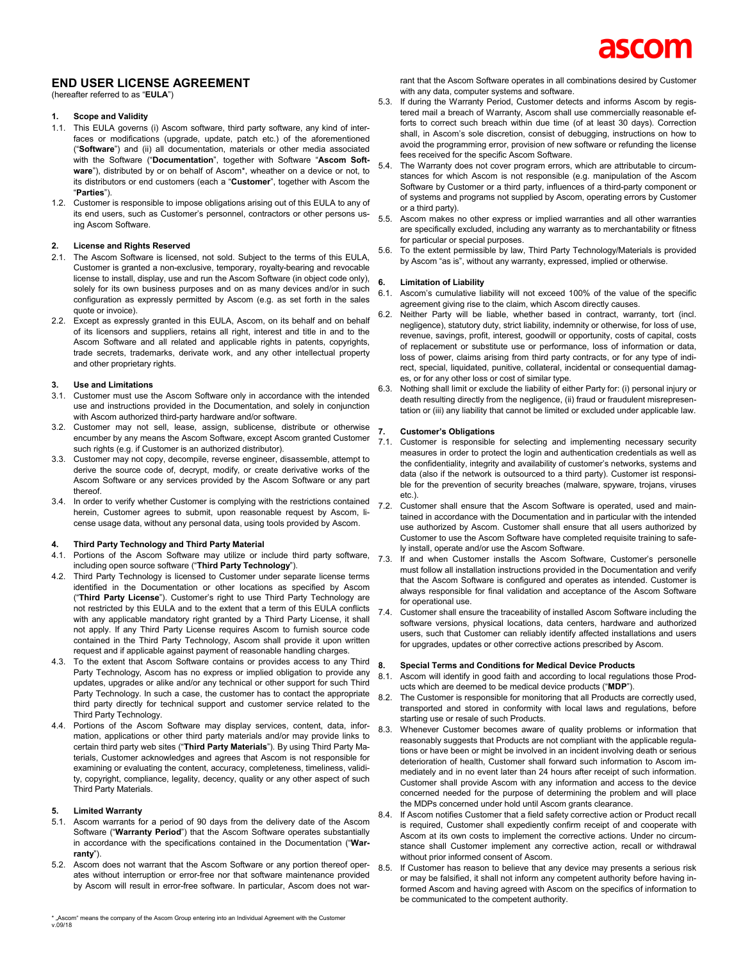# **END USER LICENSE AGREEMENT**

#### (hereafter referred to as "**EULA**")

# **1. Scope and Validity**

- 1.1. This EULA governs (i) Ascom software, third party software, any kind of interfaces or modifications (upgrade, update, patch etc.) of the aforementioned ("**Software**") and (ii) all documentation, materials or other media associated with the Software ("**Documentation**", together with Software "**Ascom Software**"), distributed by or on behalf of Ascom\*, wheather on a device or not, to its distributors or end customers (each a "**Customer**", together with Ascom the "**Parties**").
- 1.2. Customer is responsible to impose obligations arising out of this EULA to any of its end users, such as Customer's personnel, contractors or other persons using Ascom Software.

## **2. License and Rights Reserved**

- 2.1. The Ascom Software is licensed, not sold. Subject to the terms of this EULA, Customer is granted a non-exclusive, temporary, royalty-bearing and revocable license to install, display, use and run the Ascom Software (in object code only), solely for its own business purposes and on as many devices and/or in such configuration as expressly permitted by Ascom (e.g. as set forth in the sales quote or invoice).
- 2.2. Except as expressly granted in this EULA, Ascom, on its behalf and on behalf of its licensors and suppliers, retains all right, interest and title in and to the Ascom Software and all related and applicable rights in patents, copyrights, trade secrets, trademarks, derivate work, and any other intellectual property and other proprietary rights.

#### **3. Use and Limitations**

- 3.1. Customer must use the Ascom Software only in accordance with the intended use and instructions provided in the Documentation, and solely in conjunction with Ascom authorized third-party hardware and/or software.
- 3.2. Customer may not sell, lease, assign, sublicense, distribute or otherwise 7. encumber by any means the Ascom Software, except Ascom granted Customer such rights (e.g. if Customer is an authorized distributor).
- 3.3. Customer may not copy, decompile, reverse engineer, disassemble, attempt to derive the source code of, decrypt, modify, or create derivative works of the Ascom Software or any services provided by the Ascom Software or any part thereof.
- 3.4. In order to verify whether Customer is complying with the restrictions contained  $7.2$ herein, Customer agrees to submit, upon reasonable request by Ascom, license usage data, without any personal data, using tools provided by Ascom.

#### **4. Third Party Technology and Third Party Material**

- 4.1. Portions of the Ascom Software may utilize or include third party software, including open source software ("**Third Party Technology**").
- 4.2. Third Party Technology is licensed to Customer under separate license terms identified in the Documentation or other locations as specified by Ascom ("**Third Party License**"). Customer's right to use Third Party Technology are not restricted by this EULA and to the extent that a term of this EULA conflicts with any applicable mandatory right granted by a Third Party License, it shall not apply. If any Third Party License requires Ascom to furnish source code contained in the Third Party Technology, Ascom shall provide it upon written request and if applicable against payment of reasonable handling charges.
- 4.3. To the extent that Ascom Software contains or provides access to any Third Party Technology, Ascom has no express or implied obligation to provide any updates, upgrades or alike and/or any technical or other support for such Third Party Technology. In such a case, the customer has to contact the appropriate third party directly for technical support and customer service related to the Third Party Technology.
- 4.4. Portions of the Ascom Software may display services, content, data, information, applications or other third party materials and/or may provide links to certain third party web sites ("**Third Party Materials**"). By using Third Party Materials, Customer acknowledges and agrees that Ascom is not responsible for examining or evaluating the content, accuracy, completeness, timeliness, validity, copyright, compliance, legality, decency, quality or any other aspect of such Third Party Materials.

#### **5. Limited Warranty**

- 5.1. Ascom warrants for a period of 90 days from the delivery date of the Ascom Software ("**Warranty Period**") that the Ascom Software operates substantially in accordance with the specifications contained in the Documentation ("**Warranty**").
- 5.2. Ascom does not warrant that the Ascom Software or any portion thereof operates without interruption or error-free nor that software maintenance provided by Ascom will result in error-free software. In particular, Ascom does not war-
- 5.3. If during the Warranty Period, Customer detects and informs Ascom by registered mail a breach of Warranty, Ascom shall use commercially reasonable efforts to correct such breach within due time (of at least 30 days). Correction shall, in Ascom's sole discretion, consist of debugging, instructions on how to avoid the programming error, provision of new software or refunding the license fees received for the specific Ascom Software.
- 5.4. The Warranty does not cover program errors, which are attributable to circumstances for which Ascom is not responsible (e.g. manipulation of the Ascom Software by Customer or a third party, influences of a third-party component or of systems and programs not supplied by Ascom, operating errors by Customer or a third party).
- 5.5. Ascom makes no other express or implied warranties and all other warranties are specifically excluded, including any warranty as to merchantability or fitness for particular or special purposes.
- 5.6. To the extent permissible by law, Third Party Technology/Materials is provided by Ascom "as is", without any warranty, expressed, implied or otherwise.

#### **6. Limitation of Liability**

- 6.1. Ascom's cumulative liability will not exceed 100% of the value of the specific agreement giving rise to the claim, which Ascom directly causes.
- 6.2. Neither Party will be liable, whether based in contract, warranty, tort (incl. negligence), statutory duty, strict liability, indemnity or otherwise, for loss of use, revenue, savings, profit, interest, goodwill or opportunity, costs of capital, costs of replacement or substitute use or performance, loss of information or data, loss of power, claims arising from third party contracts, or for any type of indirect, special, liquidated, punitive, collateral, incidental or consequential damages, or for any other loss or cost of similar type.
- 6.3. Nothing shall limit or exclude the liability of either Party for: (i) personal injury or death resulting directly from the negligence, (ii) fraud or fraudulent misrepresentation or (iii) any liability that cannot be limited or excluded under applicable law.

#### **7. Customer's Obligations**

- 7.1. Customer is responsible for selecting and implementing necessary security measures in order to protect the login and authentication credentials as well as the confidentiality, integrity and availability of customer's networks, systems and data (also if the network is outsourced to a third party). Customer ist responsible for the prevention of security breaches (malware, spyware, trojans, viruses etc.).
- Customer shall ensure that the Ascom Software is operated, used and maintained in accordance with the Documentation and in particular with the intended use authorized by Ascom. Customer shall ensure that all users authorized by Customer to use the Ascom Software have completed requisite training to safely install, operate and/or use the Ascom Software.
- 7.3. If and when Customer installs the Ascom Software, Customer's personelle must follow all installation instructions provided in the Documentation and verify that the Ascom Software is configured and operates as intended. Customer is always responsible for final validation and acceptance of the Ascom Software for operational use.
- 7.4. Customer shall ensure the traceability of installed Ascom Software including the software versions, physical locations, data centers, hardware and authorized users, such that Customer can reliably identify affected installations and users for upgrades, updates or other corrective actions prescribed by Ascom.

#### **8. Special Terms and Conditions for Medical Device Products**

- 8.1. Ascom will identify in good faith and according to local regulations those Products which are deemed to be medical device products ("**MDP**").
- 8.2. The Customer is responsible for monitoring that all Products are correctly used, transported and stored in conformity with local laws and regulations, before starting use or resale of such Products.
- 8.3. Whenever Customer becomes aware of quality problems or information that reasonably suggests that Products are not compliant with the applicable regulations or have been or might be involved in an incident involving death or serious deterioration of health, Customer shall forward such information to Ascom immediately and in no event later than 24 hours after receipt of such information. Customer shall provide Ascom with any information and access to the device concerned needed for the purpose of determining the problem and will place the MDPs concerned under hold until Ascom grants clearance.
- 8.4. If Ascom notifies Customer that a field safety corrective action or Product recall is required, Customer shall expediently confirm receipt of and cooperate with Ascom at its own costs to implement the corrective actions. Under no circumstance shall Customer implement any corrective action, recall or withdrawal without prior informed consent of Ascom.
- If Customer has reason to believe that any device may presents a serious risk or may be falsified, it shall not inform any competent authority before having informed Ascom and having agreed with Ascom on the specifics of information to be communicated to the competent authority.